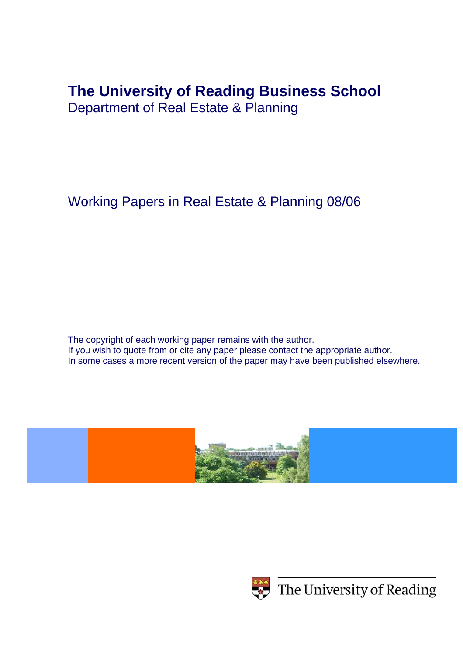# **The University of Reading Business School**

Department of Real Estate & Planning

Working Papers in Real Estate & Planning 08/06

The copyright of each working paper remains with the author. If you wish to quote from or cite any paper please contact the appropriate author. In some cases a more recent version of the paper may have been published elsewhere.





 $\leftrightarrow$  The University of Reading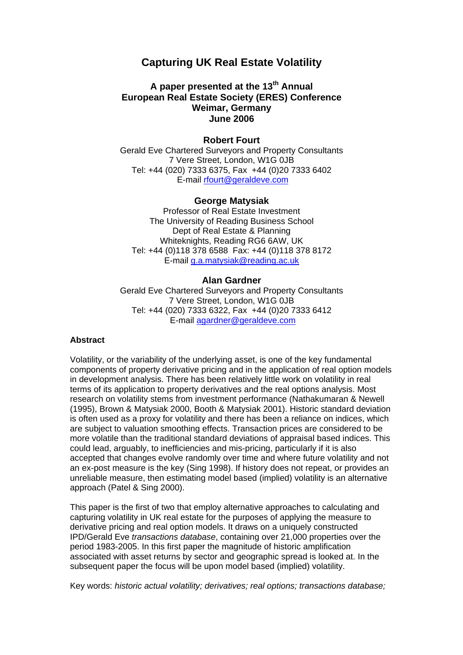# **Capturing UK Real Estate Volatility**

# **A paper presented at the 13th Annual European Real Estate Society (ERES) Conference Weimar, Germany June 2006**

#### **Robert Fourt**

Gerald Eve Chartered Surveyors and Property Consultants 7 Vere Street, London, W1G 0JB Tel: +44 (020) 7333 6375, Fax +44 (0)20 7333 6402 E-mail rfourt@geraldeve.com

#### **George Matysiak**

Professor of Real Estate Investment The University of Reading Business School Dept of Real Estate & Planning Whiteknights, Reading RG6 6AW, UK Tel: +44 (0)118 378 6588 Fax: +44 (0)118 378 8172 E-mail g.a.matysiak@reading.ac.uk

#### **Alan Gardner**

Gerald Eve Chartered Surveyors and Property Consultants 7 Vere Street, London, W1G 0JB Tel: +44 (020) 7333 6322, Fax +44 (0)20 7333 6412 E-mail agardner@geraldeve.com

#### **Abstract**

Volatility, or the variability of the underlying asset, is one of the key fundamental components of property derivative pricing and in the application of real option models in development analysis. There has been relatively little work on volatility in real terms of its application to property derivatives and the real options analysis. Most research on volatility stems from investment performance (Nathakumaran & Newell (1995), Brown & Matysiak 2000, Booth & Matysiak 2001). Historic standard deviation is often used as a proxy for volatility and there has been a reliance on indices, which are subject to valuation smoothing effects. Transaction prices are considered to be more volatile than the traditional standard deviations of appraisal based indices. This could lead, arguably, to inefficiencies and mis-pricing, particularly if it is also accepted that changes evolve randomly over time and where future volatility and not an ex-post measure is the key (Sing 1998). If history does not repeat, or provides an unreliable measure, then estimating model based (implied) volatility is an alternative approach (Patel & Sing 2000).

This paper is the first of two that employ alternative approaches to calculating and capturing volatility in UK real estate for the purposes of applying the measure to derivative pricing and real option models. It draws on a uniquely constructed IPD/Gerald Eve *transactions database*, containing over 21,000 properties over the period 1983-2005. In this first paper the magnitude of historic amplification associated with asset returns by sector and geographic spread is looked at. In the subsequent paper the focus will be upon model based (implied) volatility.

Key words: *historic actual volatility; derivatives; real options; transactions database;*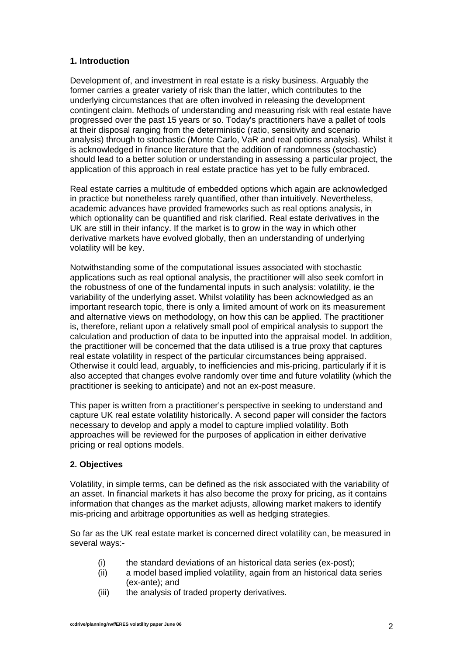# **1. Introduction**

Development of, and investment in real estate is a risky business. Arguably the former carries a greater variety of risk than the latter, which contributes to the underlying circumstances that are often involved in releasing the development contingent claim. Methods of understanding and measuring risk with real estate have progressed over the past 15 years or so. Today's practitioners have a pallet of tools at their disposal ranging from the deterministic (ratio, sensitivity and scenario analysis) through to stochastic (Monte Carlo, VaR and real options analysis). Whilst it is acknowledged in finance literature that the addition of randomness (stochastic) should lead to a better solution or understanding in assessing a particular project, the application of this approach in real estate practice has yet to be fully embraced.

Real estate carries a multitude of embedded options which again are acknowledged in practice but nonetheless rarely quantified, other than intuitively. Nevertheless, academic advances have provided frameworks such as real options analysis, in which optionality can be quantified and risk clarified. Real estate derivatives in the UK are still in their infancy. If the market is to grow in the way in which other derivative markets have evolved globally, then an understanding of underlying volatility will be key.

Notwithstanding some of the computational issues associated with stochastic applications such as real optional analysis, the practitioner will also seek comfort in the robustness of one of the fundamental inputs in such analysis: volatility, ie the variability of the underlying asset. Whilst volatility has been acknowledged as an important research topic, there is only a limited amount of work on its measurement and alternative views on methodology, on how this can be applied. The practitioner is, therefore, reliant upon a relatively small pool of empirical analysis to support the calculation and production of data to be inputted into the appraisal model. In addition, the practitioner will be concerned that the data utilised is a true proxy that captures real estate volatility in respect of the particular circumstances being appraised. Otherwise it could lead, arguably, to inefficiencies and mis-pricing, particularly if it is also accepted that changes evolve randomly over time and future volatility (which the practitioner is seeking to anticipate) and not an ex-post measure.

This paper is written from a practitioner's perspective in seeking to understand and capture UK real estate volatility historically. A second paper will consider the factors necessary to develop and apply a model to capture implied volatility. Both approaches will be reviewed for the purposes of application in either derivative pricing or real options models.

# **2. Objectives**

Volatility, in simple terms, can be defined as the risk associated with the variability of an asset. In financial markets it has also become the proxy for pricing, as it contains information that changes as the market adjusts, allowing market makers to identify mis-pricing and arbitrage opportunities as well as hedging strategies.

So far as the UK real estate market is concerned direct volatility can, be measured in several ways:-

- (i) the standard deviations of an historical data series (ex-post);
- (ii) a model based implied volatility, again from an historical data series (ex-ante); and
- (iii) the analysis of traded property derivatives.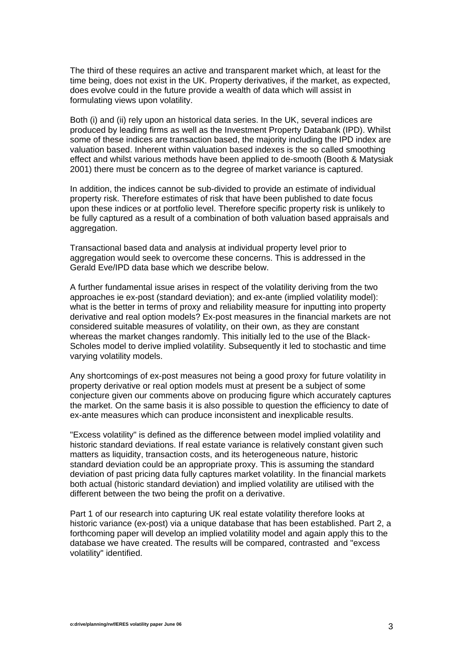The third of these requires an active and transparent market which, at least for the time being, does not exist in the UK. Property derivatives, if the market, as expected, does evolve could in the future provide a wealth of data which will assist in formulating views upon volatility.

Both (i) and (ii) rely upon an historical data series. In the UK, several indices are produced by leading firms as well as the Investment Property Databank (IPD). Whilst some of these indices are transaction based, the majority including the IPD index are valuation based. Inherent within valuation based indexes is the so called smoothing effect and whilst various methods have been applied to de-smooth (Booth & Matysiak 2001) there must be concern as to the degree of market variance is captured.

In addition, the indices cannot be sub-divided to provide an estimate of individual property risk. Therefore estimates of risk that have been published to date focus upon these indices or at portfolio level. Therefore specific property risk is unlikely to be fully captured as a result of a combination of both valuation based appraisals and aggregation.

Transactional based data and analysis at individual property level prior to aggregation would seek to overcome these concerns. This is addressed in the Gerald Eve/IPD data base which we describe below.

A further fundamental issue arises in respect of the volatility deriving from the two approaches ie ex-post (standard deviation); and ex-ante (implied volatility model): what is the better in terms of proxy and reliability measure for inputting into property derivative and real option models? Ex-post measures in the financial markets are not considered suitable measures of volatility, on their own, as they are constant whereas the market changes randomly. This initially led to the use of the Black-Scholes model to derive implied volatility. Subsequently it led to stochastic and time varying volatility models.

Any shortcomings of ex-post measures not being a good proxy for future volatility in property derivative or real option models must at present be a subject of some conjecture given our comments above on producing figure which accurately captures the market. On the same basis it is also possible to question the efficiency to date of ex-ante measures which can produce inconsistent and inexplicable results.

"Excess volatility" is defined as the difference between model implied volatility and historic standard deviations. If real estate variance is relatively constant given such matters as liquidity, transaction costs, and its heterogeneous nature, historic standard deviation could be an appropriate proxy. This is assuming the standard deviation of past pricing data fully captures market volatility. In the financial markets both actual (historic standard deviation) and implied volatility are utilised with the different between the two being the profit on a derivative.

Part 1 of our research into capturing UK real estate volatility therefore looks at historic variance (ex-post) via a unique database that has been established. Part 2, a forthcoming paper will develop an implied volatility model and again apply this to the database we have created. The results will be compared, contrasted and "excess volatility" identified.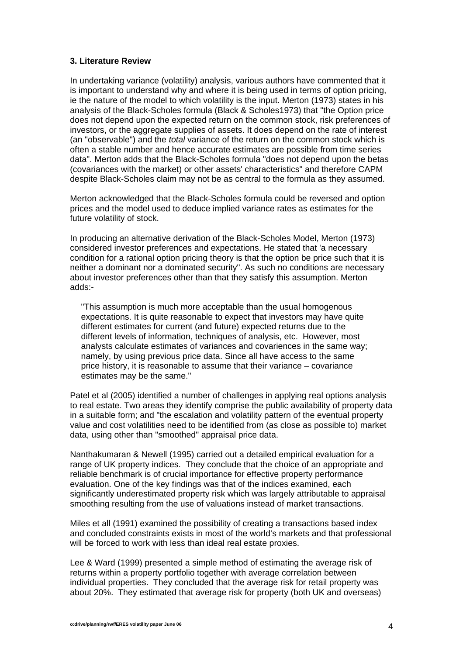#### **3. Literature Review**

In undertaking variance (volatility) analysis, various authors have commented that it is important to understand why and where it is being used in terms of option pricing, ie the nature of the model to which volatility is the input. Merton (1973) states in his analysis of the Black-Scholes formula (Black & Scholes1973) that "the Option price does not depend upon the expected return on the common stock, risk preferences of investors, or the aggregate supplies of assets. It does depend on the rate of interest (an "observable") and the *total* variance of the return on the common stock which is often a stable number and hence accurate estimates are possible from time series data". Merton adds that the Black-Scholes formula "does not depend upon the betas (covariances with the market) or other assets' characteristics" and therefore CAPM despite Black-Scholes claim may not be as central to the formula as they assumed.

Merton acknowledged that the Black-Scholes formula could be reversed and option prices and the model used to deduce implied variance rates as estimates for the future volatility of stock.

In producing an alternative derivation of the Black-Scholes Model, Merton (1973) considered investor preferences and expectations. He stated that 'a necessary condition for a rational option pricing theory is that the option be price such that it is neither a dominant nor a dominated security". As such no conditions are necessary about investor preferences other than that they satisfy this assumption. Merton adds:-

"This assumption is much more acceptable than the usual homogenous expectations. It is quite reasonable to expect that investors may have quite different estimates for current (and future) expected returns due to the different levels of information, techniques of analysis, etc. However, most analysts calculate estimates of variances and covariences in the same way; namely, by using previous price data. Since all have access to the same price history, it is reasonable to assume that their variance – covariance estimates may be the same."

Patel et al (2005) identified a number of challenges in applying real options analysis to real estate. Two areas they identify comprise the public availability of property data in a suitable form; and "the escalation and volatility pattern of the eventual property value and cost volatilities need to be identified from (as close as possible to) market data, using other than "smoothed" appraisal price data.

Nanthakumaran & Newell (1995) carried out a detailed empirical evaluation for a range of UK property indices. They conclude that the choice of an appropriate and reliable benchmark is of crucial importance for effective property performance evaluation. One of the key findings was that of the indices examined, each significantly underestimated property risk which was largely attributable to appraisal smoothing resulting from the use of valuations instead of market transactions.

Miles et all (1991) examined the possibility of creating a transactions based index and concluded constraints exists in most of the world's markets and that professional will be forced to work with less than ideal real estate proxies.

Lee & Ward (1999) presented a simple method of estimating the average risk of returns within a property portfolio together with average correlation between individual properties. They concluded that the average risk for retail property was about 20%. They estimated that average risk for property (both UK and overseas)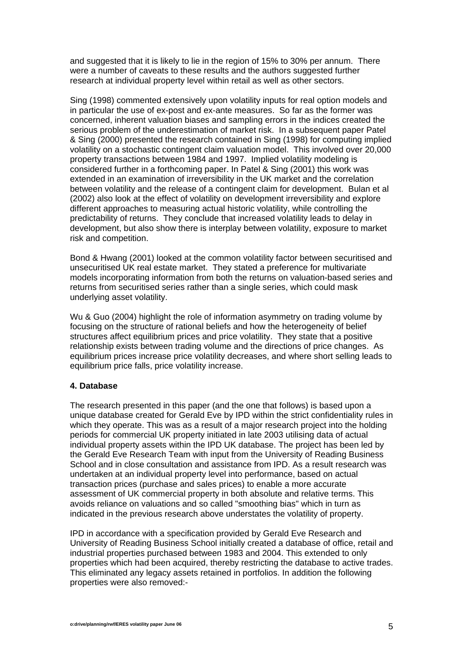and suggested that it is likely to lie in the region of 15% to 30% per annum. There were a number of caveats to these results and the authors suggested further research at individual property level within retail as well as other sectors.

Sing (1998) commented extensively upon volatility inputs for real option models and in particular the use of ex-post and ex-ante measures. So far as the former was concerned, inherent valuation biases and sampling errors in the indices created the serious problem of the underestimation of market risk. In a subsequent paper Patel & Sing (2000) presented the research contained in Sing (1998) for computing implied volatility on a stochastic contingent claim valuation model. This involved over 20,000 property transactions between 1984 and 1997. Implied volatility modeling is considered further in a forthcoming paper. In Patel & Sing (2001) this work was extended in an examination of irreversibility in the UK market and the correlation between volatility and the release of a contingent claim for development. Bulan et al (2002) also look at the effect of volatility on development irreversibility and explore different approaches to measuring actual historic volatility, while controlling the predictability of returns. They conclude that increased volatility leads to delay in development, but also show there is interplay between volatility, exposure to market risk and competition.

Bond & Hwang (2001) looked at the common volatility factor between securitised and unsecuritised UK real estate market. They stated a preference for multivariate models incorporating information from both the returns on valuation-based series and returns from securitised series rather than a single series, which could mask underlying asset volatility.

Wu & Guo (2004) highlight the role of information asymmetry on trading volume by focusing on the structure of rational beliefs and how the heterogeneity of belief structures affect equilibrium prices and price volatility. They state that a positive relationship exists between trading volume and the directions of price changes. As equilibrium prices increase price volatility decreases, and where short selling leads to equilibrium price falls, price volatility increase.

#### **4. Database**

The research presented in this paper (and the one that follows) is based upon a unique database created for Gerald Eve by IPD within the strict confidentiality rules in which they operate. This was as a result of a major research project into the holding periods for commercial UK property initiated in late 2003 utilising data of actual individual property assets within the IPD UK database. The project has been led by the Gerald Eve Research Team with input from the University of Reading Business School and in close consultation and assistance from IPD. As a result research was undertaken at an individual property level into performance, based on actual transaction prices (purchase and sales prices) to enable a more accurate assessment of UK commercial property in both absolute and relative terms. This avoids reliance on valuations and so called "smoothing bias" which in turn as indicated in the previous research above understates the volatility of property.

IPD in accordance with a specification provided by Gerald Eve Research and University of Reading Business School initially created a database of office, retail and industrial properties purchased between 1983 and 2004. This extended to only properties which had been acquired, thereby restricting the database to active trades. This eliminated any legacy assets retained in portfolios. In addition the following properties were also removed:-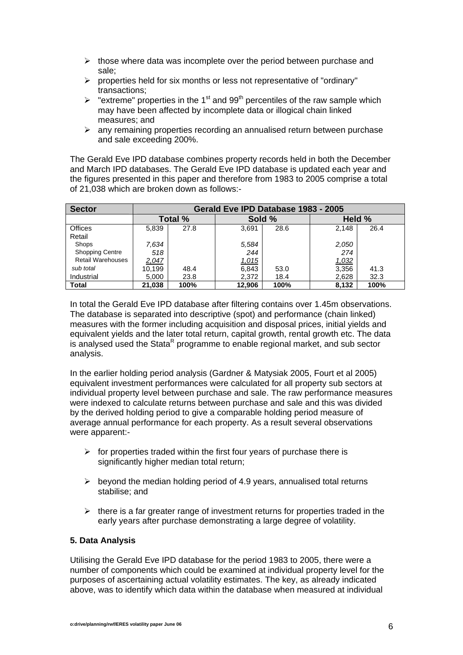- $\triangleright$  those where data was incomplete over the period between purchase and sale;
- ¾ properties held for six months or less not representative of "ordinary" transactions;
- $\triangleright$  "extreme" properties in the 1<sup>st</sup> and 99<sup>th</sup> percentiles of the raw sample which may have been affected by incomplete data or illogical chain linked measures; and
- $\triangleright$  any remaining properties recording an annualised return between purchase and sale exceeding 200%.

The Gerald Eve IPD database combines property records held in both the December and March IPD databases. The Gerald Eve IPD database is updated each year and the figures presented in this paper and therefore from 1983 to 2005 comprise a total of 21,038 which are broken down as follows:-

| <b>Sector</b>            | Gerald Eve IPD Database 1983 - 2005 |      |        |      |        |      |  |  |
|--------------------------|-------------------------------------|------|--------|------|--------|------|--|--|
|                          | Total %                             |      | Sold % |      | Held % |      |  |  |
| Offices                  | 5,839                               | 27.8 | 3,691  | 28.6 | 2,148  | 26.4 |  |  |
| Retail                   |                                     |      |        |      |        |      |  |  |
| Shops                    | 7,634                               |      | 5,584  |      | 2,050  |      |  |  |
| <b>Shopping Centre</b>   | 518                                 |      | 244    |      | 274    |      |  |  |
| <b>Retail Warehouses</b> | <u>2,047</u>                        |      | 1,015  |      | 1,032  |      |  |  |
| sub total                | 10,199                              | 48.4 | 6,843  | 53.0 | 3,356  | 41.3 |  |  |
| Industrial               | 5,000                               | 23.8 | 2,372  | 18.4 | 2,628  | 32.3 |  |  |
| <b>Total</b>             | 21,038                              | 100% | 12,906 | 100% | 8,132  | 100% |  |  |

In total the Gerald Eve IPD database after filtering contains over 1.45m observations. The database is separated into descriptive (spot) and performance (chain linked) measures with the former including acquisition and disposal prices, initial yields and equivalent yields and the later total return, capital growth, rental growth etc. The data is analysed used the Stata<sup>R</sup> programme to enable regional market, and sub sector analysis.

In the earlier holding period analysis (Gardner & Matysiak 2005, Fourt et al 2005) equivalent investment performances were calculated for all property sub sectors at individual property level between purchase and sale. The raw performance measures were indexed to calculate returns between purchase and sale and this was divided by the derived holding period to give a comparable holding period measure of average annual performance for each property. As a result several observations were apparent:-

- $\triangleright$  for properties traded within the first four years of purchase there is significantly higher median total return;
- $\triangleright$  beyond the median holding period of 4.9 years, annualised total returns stabilise; and
- $\triangleright$  there is a far greater range of investment returns for properties traded in the early years after purchase demonstrating a large degree of volatility.

# **5. Data Analysis**

Utilising the Gerald Eve IPD database for the period 1983 to 2005, there were a number of components which could be examined at individual property level for the purposes of ascertaining actual volatility estimates. The key, as already indicated above, was to identify which data within the database when measured at individual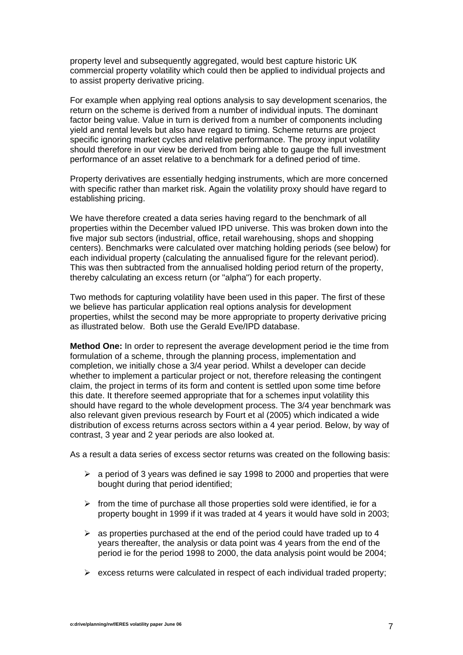property level and subsequently aggregated, would best capture historic UK commercial property volatility which could then be applied to individual projects and to assist property derivative pricing.

For example when applying real options analysis to say development scenarios, the return on the scheme is derived from a number of individual inputs. The dominant factor being value. Value in turn is derived from a number of components including yield and rental levels but also have regard to timing. Scheme returns are project specific ignoring market cycles and relative performance. The proxy input volatility should therefore in our view be derived from being able to gauge the full investment performance of an asset relative to a benchmark for a defined period of time.

Property derivatives are essentially hedging instruments, which are more concerned with specific rather than market risk. Again the volatility proxy should have regard to establishing pricing.

We have therefore created a data series having regard to the benchmark of all properties within the December valued IPD universe. This was broken down into the five major sub sectors (industrial, office, retail warehousing, shops and shopping centers). Benchmarks were calculated over matching holding periods (see below) for each individual property (calculating the annualised figure for the relevant period). This was then subtracted from the annualised holding period return of the property, thereby calculating an excess return (or "alpha") for each property.

Two methods for capturing volatility have been used in this paper. The first of these we believe has particular application real options analysis for development properties, whilst the second may be more appropriate to property derivative pricing as illustrated below. Both use the Gerald Eve/IPD database.

**Method One:** In order to represent the average development period ie the time from formulation of a scheme, through the planning process, implementation and completion, we initially chose a 3/4 year period. Whilst a developer can decide whether to implement a particular project or not, therefore releasing the contingent claim, the project in terms of its form and content is settled upon some time before this date. It therefore seemed appropriate that for a schemes input volatility this should have regard to the whole development process. The 3/4 year benchmark was also relevant given previous research by Fourt et al (2005) which indicated a wide distribution of excess returns across sectors within a 4 year period. Below, by way of contrast, 3 year and 2 year periods are also looked at.

As a result a data series of excess sector returns was created on the following basis:

- $\geq$  a period of 3 years was defined ie say 1998 to 2000 and properties that were bought during that period identified;
- $\triangleright$  from the time of purchase all those properties sold were identified, ie for a property bought in 1999 if it was traded at 4 years it would have sold in 2003;
- $\geq$  as properties purchased at the end of the period could have traded up to 4 years thereafter, the analysis or data point was 4 years from the end of the period ie for the period 1998 to 2000, the data analysis point would be 2004;
- $\triangleright$  excess returns were calculated in respect of each individual traded property;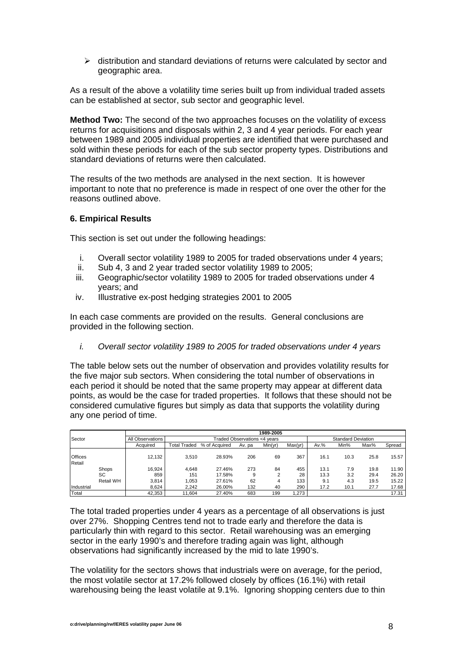$\triangleright$  distribution and standard deviations of returns were calculated by sector and geographic area.

As a result of the above a volatility time series built up from individual traded assets can be established at sector, sub sector and geographic level.

**Method Two:** The second of the two approaches focuses on the volatility of excess returns for acquisitions and disposals within 2, 3 and 4 year periods. For each year between 1989 and 2005 individual properties are identified that were purchased and sold within these periods for each of the sub sector property types. Distributions and standard deviations of returns were then calculated.

The results of the two methods are analysed in the next section. It is however important to note that no preference is made in respect of one over the other for the reasons outlined above.

#### **6. Empirical Results**

This section is set out under the following headings:

- i. Overall sector volatility 1989 to 2005 for traded observations under 4 years;
- ii. Sub 4, 3 and 2 year traded sector volatility 1989 to 2005;
- iii. Geographic/sector volatility 1989 to 2005 for traded observations under 4 years; and
- iv. Illustrative ex-post hedging strategies 2001 to 2005

In each case comments are provided on the results. General conclusions are provided in the following section.

*i. Overall sector volatility 1989 to 2005 for traded observations under 4 years* 

The table below sets out the number of observation and provides volatility results for the five major sub sectors. When considering the total number of observations in each period it should be noted that the same property may appear at different data points, as would be the case for traded properties. It follows that these should not be considered cumulative figures but simply as data that supports the volatility during any one period of time.

|                          |                    | 1989-2005        |              |                                                           |          |         |           |              |            |              |                |  |
|--------------------------|--------------------|------------------|--------------|-----------------------------------------------------------|----------|---------|-----------|--------------|------------|--------------|----------------|--|
| Sector                   |                    | All Observations |              | <b>Standard Deviation</b><br>Traded Observations <4 years |          |         |           |              |            |              |                |  |
|                          |                    | Acauired         | Total Traded | % of Acquired                                             | Av. pa   | Min(yr) | Max(yr)   | $Av.$ %      | Min%       | Max%         | Spread         |  |
| <b>Offices</b><br>Retail |                    | 12,132           | 3.510        | 28.93%                                                    | 206      | 69      | 367       | 16.1         | 10.3       | 25.8         | 15.57          |  |
|                          | Shops<br><b>SC</b> | 16,924<br>859    | 4.648<br>151 | 27.46%<br>17.58%                                          | 273<br>9 | 84      | 455<br>28 | 13.1<br>13.3 | 7.9<br>3.2 | 19.8<br>29.4 | 11.90<br>26.20 |  |
|                          | Retail WH          | 3,814            | 1.053        | 27.61%                                                    | 62       | 4       | 133       | 9.1          | 4.3        | 19.5         | 15.22          |  |
| Industrial               |                    | 8.624            | 2.242        | 26.00%                                                    | 132      | 40      | 290       | 17.2         | 10.1       | 27.7         | 17.68          |  |
| Total                    |                    | 42,353           | 11.604       | 27.40%                                                    | 683      | 199     | 1,273     |              |            |              | 17.31          |  |

The total traded properties under 4 years as a percentage of all observations is just over 27%. Shopping Centres tend not to trade early and therefore the data is particularly thin with regard to this sector. Retail warehousing was an emerging sector in the early 1990's and therefore trading again was light, although observations had significantly increased by the mid to late 1990's.

The volatility for the sectors shows that industrials were on average, for the period, the most volatile sector at 17.2% followed closely by offices (16.1%) with retail warehousing being the least volatile at 9.1%. Ignoring shopping centers due to thin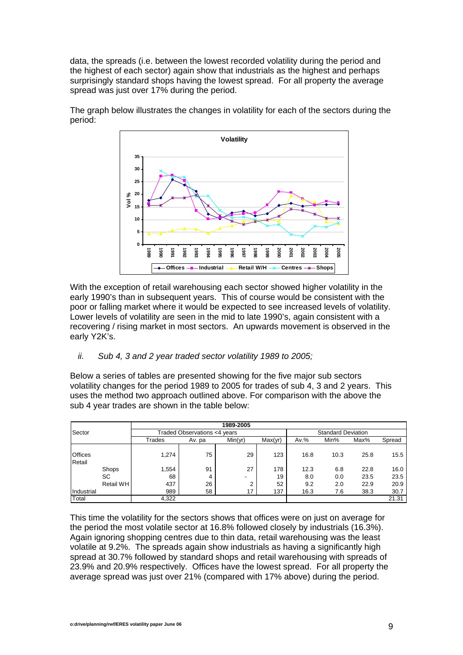data, the spreads (i.e. between the lowest recorded volatility during the period and the highest of each sector) again show that industrials as the highest and perhaps surprisingly standard shops having the lowest spread. For all property the average spread was just over 17% during the period.



The graph below illustrates the changes in volatility for each of the sectors during the period:

With the exception of retail warehousing each sector showed higher volatility in the early 1990's than in subsequent years. This of course would be consistent with the poor or falling market where it would be expected to see increased levels of volatility. Lower levels of volatility are seen in the mid to late 1990's, again consistent with a recovering / rising market in most sectors. An upwards movement is observed in the early Y2K's.

*ii. Sub 4, 3 and 2 year traded sector volatility 1989 to 2005;* 

Below a series of tables are presented showing for the five major sub sectors volatility changes for the period 1989 to 2005 for trades of sub 4, 3 and 2 years. This uses the method two approach outlined above. For comparison with the above the sub 4 year trades are shown in the table below:

|                |           |                              |        | 1989-2005                 |         |         |      |      |        |
|----------------|-----------|------------------------------|--------|---------------------------|---------|---------|------|------|--------|
| Sector         |           | Traded Observations <4 years |        | <b>Standard Deviation</b> |         |         |      |      |        |
|                |           | Trades                       | Av. pa | Min(yr)                   | Max(yr) | $Av.$ % | Min% | Max% | Spread |
|                |           |                              |        |                           |         |         |      |      |        |
| <b>Offices</b> |           | 1,274                        | 75     | 29                        | 123     | 16.8    | 10.3 | 25.8 | 15.5   |
| Retail         |           |                              |        |                           |         |         |      |      |        |
|                | Shops     | .554                         | 91     | 27                        | 178     | 12.3    | 6.8  | 22.8 | 16.0   |
|                | SC        | 68                           | 4      | -                         | 19      | 8.0     | 0.0  | 23.5 | 23.5   |
|                | Retail WH | 437                          | 26     | 2                         | 52      | 9.2     | 2.0  | 22.9 | 20.9   |
| Industrial     |           | 989                          | 58     | 17                        | 137     | 16.3    | 7.6  | 38.3 | 30.7   |
| Total          |           | 4,322                        |        |                           |         |         |      |      | 21.31  |

This time the volatility for the sectors shows that offices were on just on average for the period the most volatile sector at 16.8% followed closely by industrials (16.3%). Again ignoring shopping centres due to thin data, retail warehousing was the least volatile at 9.2%. The spreads again show industrials as having a significantly high spread at 30.7% followed by standard shops and retail warehousing with spreads of 23.9% and 20.9% respectively. Offices have the lowest spread. For all property the average spread was just over 21% (compared with 17% above) during the period.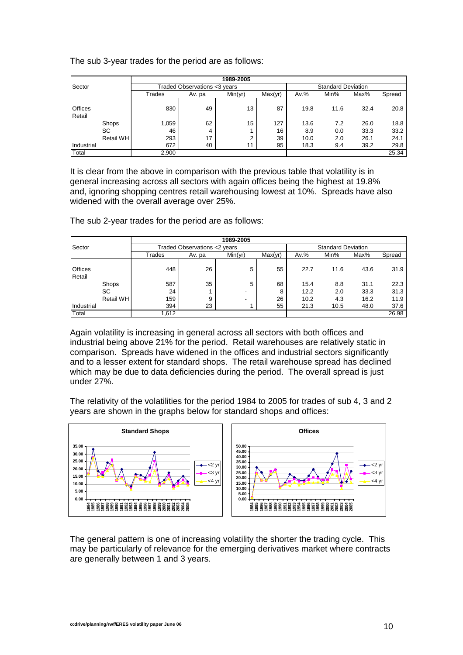The sub 3-year trades for the period are as follows:

|                          |                                 |                               |                           | 1989-2005            |                 |                     |                   |                      |                      |
|--------------------------|---------------------------------|-------------------------------|---------------------------|----------------------|-----------------|---------------------|-------------------|----------------------|----------------------|
| Sector                   |                                 | Traded Observations < 3 years | <b>Standard Deviation</b> |                      |                 |                     |                   |                      |                      |
|                          |                                 | Trades                        | Av. pa                    | Min(yr)              | Max(yr)         | $Av.$ %             | Min%              | Max%                 | Spread               |
| <b>Offices</b><br>Retail |                                 | 830                           | 49                        | 13 <sup>13</sup>     | 87              | 19.8                | 11.6              | 32.4                 | 20.8                 |
|                          | Shops<br>SC<br><b>Retail WH</b> | .059<br>46<br>293             | 62<br>4<br>17             | 15<br>$\overline{2}$ | 127<br>16<br>39 | 13.6<br>8.9<br>10.0 | 7.2<br>0.0<br>2.0 | 26.0<br>33.3<br>26.1 | 18.8<br>33.2<br>24.1 |
| Industrial<br>Total      |                                 | 672<br>2,900                  | 40                        | 11                   | 95              | 18.3                | 9.4               | 39.2                 | 29.8<br>25.34        |

It is clear from the above in comparison with the previous table that volatility is in general increasing across all sectors with again offices being the highest at 19.8% and, ignoring shopping centres retail warehousing lowest at 10%. Spreads have also widened with the overall average over 25%.

The sub 2-year trades for the period are as follows:

|                |                  | 1989-2005                    |                           |         |         |         |      |      |        |  |  |
|----------------|------------------|------------------------------|---------------------------|---------|---------|---------|------|------|--------|--|--|
| Sector         |                  | Traded Observations <2 years | <b>Standard Deviation</b> |         |         |         |      |      |        |  |  |
|                |                  | Trades                       | Av. pa                    | Min(yr) | Max(yr) | $Av.$ % | Min% | Max% | Spread |  |  |
|                |                  |                              |                           |         |         |         |      |      |        |  |  |
| <b>Offices</b> |                  | 448                          | 26                        | 5       | 55      | 22.7    | 11.6 | 43.6 | 31.9   |  |  |
| Retail         |                  |                              |                           |         |         |         |      |      |        |  |  |
|                | Shops            | 587                          | 35                        | 5       | 68      | 15.4    | 8.8  | 31.1 | 22.3   |  |  |
|                | SC               | 24                           |                           | ۰.      | 8       | 12.2    | 2.0  | 33.3 | 31.3   |  |  |
|                | <b>Retail WH</b> | 159                          | 9                         | -       | 26      | 10.2    | 4.3  | 16.2 | 11.9   |  |  |
| Industrial     |                  | 394                          | 23                        |         | 55      | 21.3    | 10.5 | 48.0 | 37.6   |  |  |
| Total          |                  | .612                         |                           |         |         |         |      |      | 26.98  |  |  |

Again volatility is increasing in general across all sectors with both offices and industrial being above 21% for the period. Retail warehouses are relatively static in comparison. Spreads have widened in the offices and industrial sectors significantly and to a lesser extent for standard shops. The retail warehouse spread has declined which may be due to data deficiencies during the period. The overall spread is just under 27%.

The relativity of the volatilities for the period 1984 to 2005 for trades of sub 4, 3 and 2 years are shown in the graphs below for standard shops and offices:



The general pattern is one of increasing volatility the shorter the trading cycle. This may be particularly of relevance for the emerging derivatives market where contracts are generally between 1 and 3 years.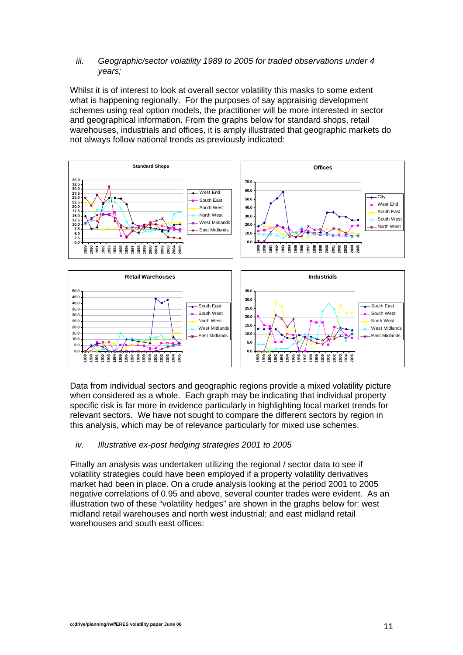#### *iii. Geographic/sector volatility 1989 to 2005 for traded observations under 4 years;*

Whilst it is of interest to look at overall sector volatility this masks to some extent what is happening regionally. For the purposes of say appraising development schemes using real option models, the practitioner will be more interested in sector and geographical information. From the graphs below for standard shops, retail warehouses, industrials and offices, it is amply illustrated that geographic markets do not always follow national trends as previously indicated:



Data from individual sectors and geographic regions provide a mixed volatility picture when considered as a whole. Each graph may be indicating that individual property specific risk is far more in evidence particularly in highlighting local market trends for relevant sectors. We have not sought to compare the different sectors by region in this analysis, which may be of relevance particularly for mixed use schemes.

# *iv. Illustrative ex-post hedging strategies 2001 to 2005*

Finally an analysis was undertaken utilizing the regional / sector data to see if volatility strategies could have been employed if a property volatility derivatives market had been in place. On a crude analysis looking at the period 2001 to 2005 negative correlations of 0.95 and above, several counter trades were evident. As an illustration two of these "volatility hedges" are shown in the graphs below for: west midland retail warehouses and north west industrial; and east midland retail warehouses and south east offices: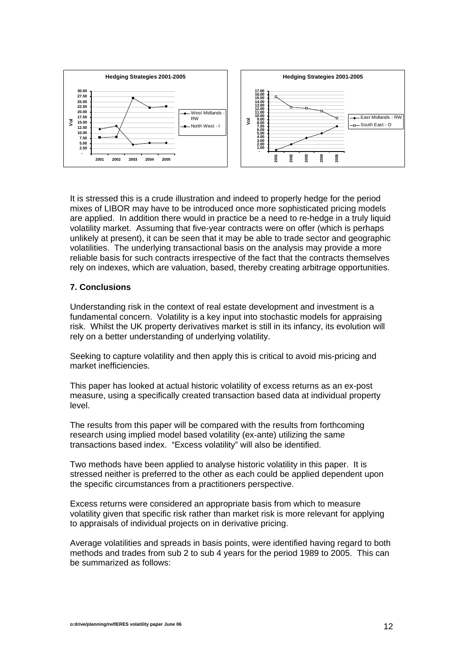

It is stressed this is a crude illustration and indeed to properly hedge for the period mixes of LIBOR may have to be introduced once more sophisticated pricing models are applied. In addition there would in practice be a need to re-hedge in a truly liquid volatility market. Assuming that five-year contracts were on offer (which is perhaps unlikely at present), it can be seen that it may be able to trade sector and geographic volatilities. The underlying transactional basis on the analysis may provide a more reliable basis for such contracts irrespective of the fact that the contracts themselves rely on indexes, which are valuation, based, thereby creating arbitrage opportunities.

# **7. Conclusions**

Understanding risk in the context of real estate development and investment is a fundamental concern. Volatility is a key input into stochastic models for appraising risk. Whilst the UK property derivatives market is still in its infancy, its evolution will rely on a better understanding of underlying volatility.

Seeking to capture volatility and then apply this is critical to avoid mis-pricing and market inefficiencies.

This paper has looked at actual historic volatility of excess returns as an ex-post measure, using a specifically created transaction based data at individual property level.

The results from this paper will be compared with the results from forthcoming research using implied model based volatility (ex-ante) utilizing the same transactions based index. "Excess volatility" will also be identified.

Two methods have been applied to analyse historic volatility in this paper. It is stressed neither is preferred to the other as each could be applied dependent upon the specific circumstances from a practitioners perspective.

Excess returns were considered an appropriate basis from which to measure volatility given that specific risk rather than market risk is more relevant for applying to appraisals of individual projects on in derivative pricing.

Average volatilities and spreads in basis points, were identified having regard to both methods and trades from sub 2 to sub 4 years for the period 1989 to 2005. This can be summarized as follows: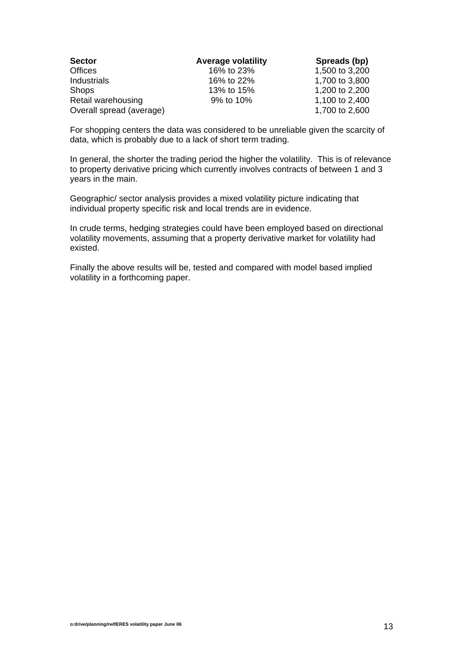| <b>Sector</b>            | <b>Average volatility</b> | Spreads (bp)   |
|--------------------------|---------------------------|----------------|
| <b>Offices</b>           | 16% to 23%                | 1,500 to 3,200 |
| <b>Industrials</b>       | 16% to 22%                | 1,700 to 3,800 |
| <b>Shops</b>             | 13% to 15%                | 1,200 to 2,200 |
| Retail warehousing       | 9% to 10%                 | 1,100 to 2,400 |
| Overall spread (average) |                           | 1,700 to 2,600 |

For shopping centers the data was considered to be unreliable given the scarcity of data, which is probably due to a lack of short term trading.

In general, the shorter the trading period the higher the volatility. This is of relevance to property derivative pricing which currently involves contracts of between 1 and 3 years in the main.

Geographic/ sector analysis provides a mixed volatility picture indicating that individual property specific risk and local trends are in evidence.

In crude terms, hedging strategies could have been employed based on directional volatility movements, assuming that a property derivative market for volatility had existed.

Finally the above results will be, tested and compared with model based implied volatility in a forthcoming paper.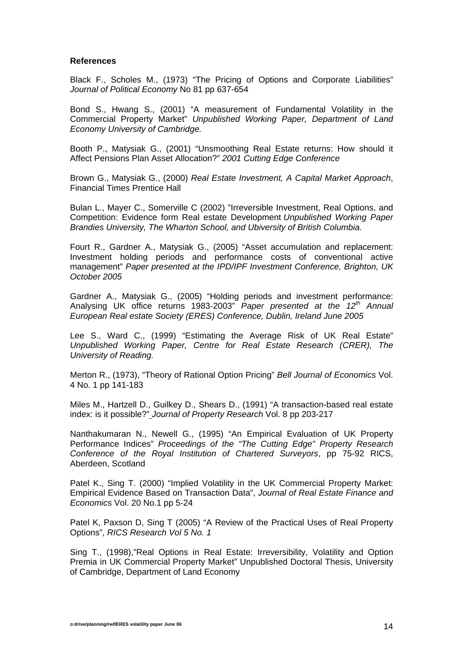#### **References**

Black F., Scholes M., (1973) "The Pricing of Options and Corporate Liabilities" *Journal of Political Economy* No 81 pp 637-654

Bond S., Hwang S., (2001) "A measurement of Fundamental Volatility in the Commercial Property Market" *Unpublished Working Paper, Department of Land Economy University of Cambridge.*

Booth P., Matysiak G., (2001) "Unsmoothing Real Estate returns: How should it Affect Pensions Plan Asset Allocation?" *2001 Cutting Edge Conference* 

Brown G., Matysiak G., (2000) *Real Estate Investment, A Capital Market Approach*, Financial Times Prentice Hall

Bulan L., Mayer C., Somerville C (2002) "Irreversible Investment, Real Options, and Competition: Evidence form Real estate Development *Unpublished Working Paper Brandies University, The Wharton School, and Ubiversity of British Columbia.*

Fourt R., Gardner A., Matysiak G., (2005) "Asset accumulation and replacement: Investment holding periods and performance costs of conventional active management" *Paper presented at the IPD/IPF Investment Conference, Brighton, UK October 2005* 

Gardner A., Matysiak G., (2005) "Holding periods and investment performance: Analysing UK office returns 1983-2003" *Paper presented at the 12th Annual European Real estate Society (ERES) Conference, Dublin, Ireland June 2005* 

Lee S., Ward C., (1999) "Estimating the Average Risk of UK Real Estate" *Unpublished Working Paper, Centre for Real Estate Research (CRER), The University of Reading.* 

Merton R., (1973), "Theory of Rational Option Pricing" *Bell Journal of Economics* Vol. 4 No. 1 pp 141-183

Miles M., Hartzell D., Guilkey D., Shears D., (1991) "A transaction-based real estate index: is it possible?" *Journal of Property Research* Vol. 8 pp 203-217

Nanthakumaran N., Newell G., (1995) "An Empirical Evaluation of UK Property Performance Indices" *Proceedings of the "The Cutting Edge" Property Research Conference of the Royal Institution of Chartered Surveyors*, pp 75-92 RICS, Aberdeen, Scotland

Patel K., Sing T. (2000) "Implied Volatility in the UK Commercial Property Market: Empirical Evidence Based on Transaction Data", *Journal of Real Estate Finance and Economics* Vol. 20 No.1 pp 5-24

Patel K, Paxson D, Sing T (2005) "A Review of the Practical Uses of Real Property Options", *RICS Research Vol 5 No. 1*

Sing T., (1998),"Real Options in Real Estate: Irreversibility, Volatility and Option Premia in UK Commercial Property Market" Unpublished Doctoral Thesis, University of Cambridge, Department of Land Economy